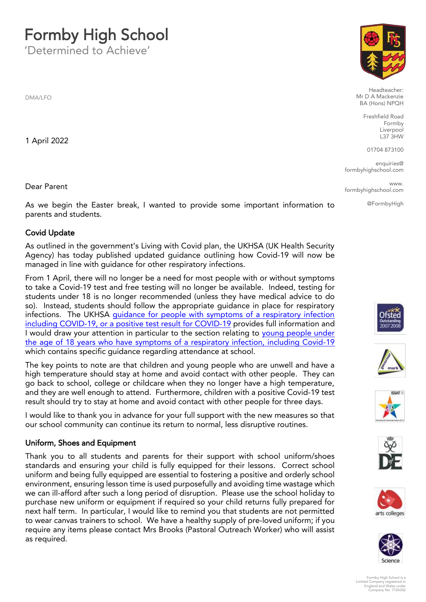# **Formby High School**<br>'Determined to Achieve'

'Determined to Achieve'

DMA/LFO

1 April 2022

Dear Parent Dear Parent

As we begin the Easter break, I wanted to provide some important information to parents and students. parents and students.

Covid Update<br>As outlined in the government's Living with Covid plan, the UKHSA (UK Health Security Agency) has today published updated guidance outlining how Covid-19 will now be managed in line with guidance for other respiratory infections.

From 1 April, there will no longer be a need for most people with or without symptoms. to take a Covid-19 test and free testing will no longer be available. Indeed, testing for students under 18 is no longer recommended (unless they have medical advice to do so). Instead, students should follow the appropriate guidance in place for respiratory infections. The UKHSA quidance for people with symptoms of a respiratory infection including COVID-19, or a positive test result for COVID-19 provides full information and I would draw your attention in particular to the section relating to young people under the age of 18 years who have symptoms of a respiratory infection, including Covid-19 which contains specific guidance regarding attendance at school.

The key points to note are that children and young people who are unwell and have a high temperature should stay at home and avoid contact with other people. They can go back to school, college or childcare when they no longer have a high temperature, and they are well enough to attend. Furthermore, children with a positive Covid-19 test result should try to stay at home and avoid contact with other people for three days.

I would like to thank you in advance for your full support with the new measures so that  $\frac{1}{2}$  would community can continue its return to normal less disruptive routines our school community can continue its return to normal, less disruptive routines.

Uniform, Shoes and Equipment<br>Thank you to all students and parents for their support with school uniform/shoes standards and ensuring your child is fully equipped for their lessons. Correct school uniform and being fully equipped are essential to fostering a positive and orderly school environment, ensuring lesson time is used purposefully and avoiding time wastage which we can ill-afford after such a long period of disruption. Please use the school holiday to purchase new uniform or equipment if required so your child returns fully prepared for next half term. In particular, I would like to remind you that students are not permitted to wear canvas trainers to school. We have a healthy supply of pre-loved uniform; if you to wear can very cancel to wear contact Mrs. Brooks (Pastoral Outreach Worker) who will assist  $\frac{1}{2}$  required as required.



Headteacher:<br>Mr D A Mackenzie BA (Hons) NPQH

> Freshfield Road Liverpool  $L37$  $3HW$

01704 873100

en<br>School com formbyhighschool.com

www.  $\frac{1}{2}$ formbyhighschool.com

@FormbyHigh













Formby High School is a Limited Company registered in England and Wales under Company No. 7724342